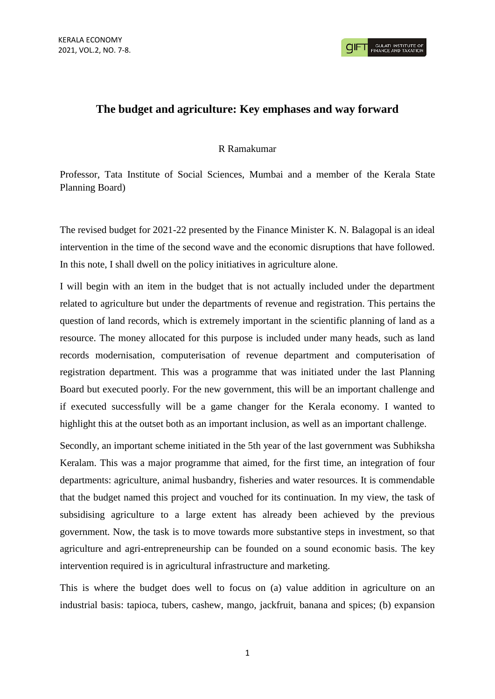**GULATI INSTITUTE O**<br>FINANCE AND TAXATIO

## **The budget and agriculture: Key emphases and way forward**

## R Ramakumar

Professor, Tata Institute of Social Sciences, Mumbai and a member of the Kerala State Planning Board)

The revised budget for 2021-22 presented by the Finance Minister K. N. Balagopal is an ideal intervention in the time of the second wave and the economic disruptions that have followed. In this note, I shall dwell on the policy initiatives in agriculture alone.

I will begin with an item in the budget that is not actually included under the department related to agriculture but under the departments of revenue and registration. This pertains the question of land records, which is extremely important in the scientific planning of land as a resource. The money allocated for this purpose is included under many heads, such as land records modernisation, computerisation of revenue department and computerisation of registration department. This was a programme that was initiated under the last Planning Board but executed poorly. For the new government, this will be an important challenge and if executed successfully will be a game changer for the Kerala economy. I wanted to highlight this at the outset both as an important inclusion, as well as an important challenge.

Secondly, an important scheme initiated in the 5th year of the last government was Subhiksha Keralam. This was a major programme that aimed, for the first time, an integration of four departments: agriculture, animal husbandry, fisheries and water resources. It is commendable that the budget named this project and vouched for its continuation. In my view, the task of subsidising agriculture to a large extent has already been achieved by the previous government. Now, the task is to move towards more substantive steps in investment, so that agriculture and agri-entrepreneurship can be founded on a sound economic basis. The key intervention required is in agricultural infrastructure and marketing.

This is where the budget does well to focus on (a) value addition in agriculture on an industrial basis: tapioca, tubers, cashew, mango, jackfruit, banana and spices; (b) expansion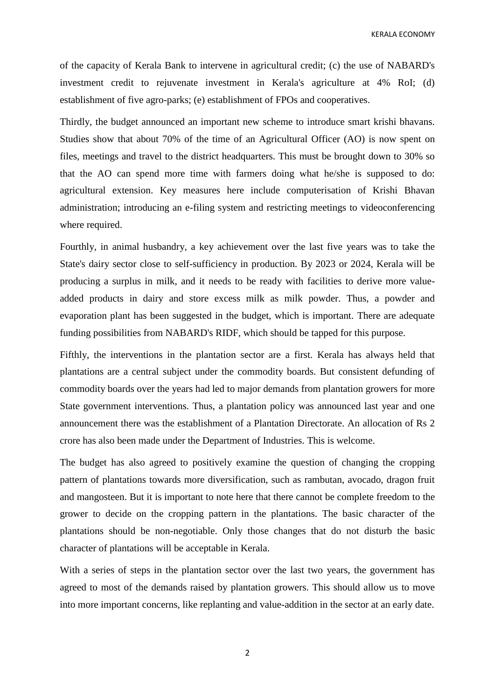KERALA ECONOMY

of the capacity of Kerala Bank to intervene in agricultural credit; (c) the use of NABARD's investment credit to rejuvenate investment in Kerala's agriculture at 4% RoI; (d) establishment of five agro-parks; (e) establishment of FPOs and cooperatives.

Thirdly, the budget announced an important new scheme to introduce smart krishi bhavans. Studies show that about 70% of the time of an Agricultural Officer (AO) is now spent on files, meetings and travel to the district headquarters. This must be brought down to 30% so that the AO can spend more time with farmers doing what he/she is supposed to do: agricultural extension. Key measures here include computerisation of Krishi Bhavan administration; introducing an e-filing system and restricting meetings to videoconferencing where required.

Fourthly, in animal husbandry, a key achievement over the last five years was to take the State's dairy sector close to self-sufficiency in production. By 2023 or 2024, Kerala will be producing a surplus in milk, and it needs to be ready with facilities to derive more valueadded products in dairy and store excess milk as milk powder. Thus, a powder and evaporation plant has been suggested in the budget, which is important. There are adequate funding possibilities from NABARD's RIDF, which should be tapped for this purpose.

Fifthly, the interventions in the plantation sector are a first. Kerala has always held that plantations are a central subject under the commodity boards. But consistent defunding of commodity boards over the years had led to major demands from plantation growers for more State government interventions. Thus, a plantation policy was announced last year and one announcement there was the establishment of a Plantation Directorate. An allocation of Rs 2 crore has also been made under the Department of Industries. This is welcome.

The budget has also agreed to positively examine the question of changing the cropping pattern of plantations towards more diversification, such as rambutan, avocado, dragon fruit and mangosteen. But it is important to note here that there cannot be complete freedom to the grower to decide on the cropping pattern in the plantations. The basic character of the plantations should be non-negotiable. Only those changes that do not disturb the basic character of plantations will be acceptable in Kerala.

With a series of steps in the plantation sector over the last two years, the government has agreed to most of the demands raised by plantation growers. This should allow us to move into more important concerns, like replanting and value-addition in the sector at an early date.

2